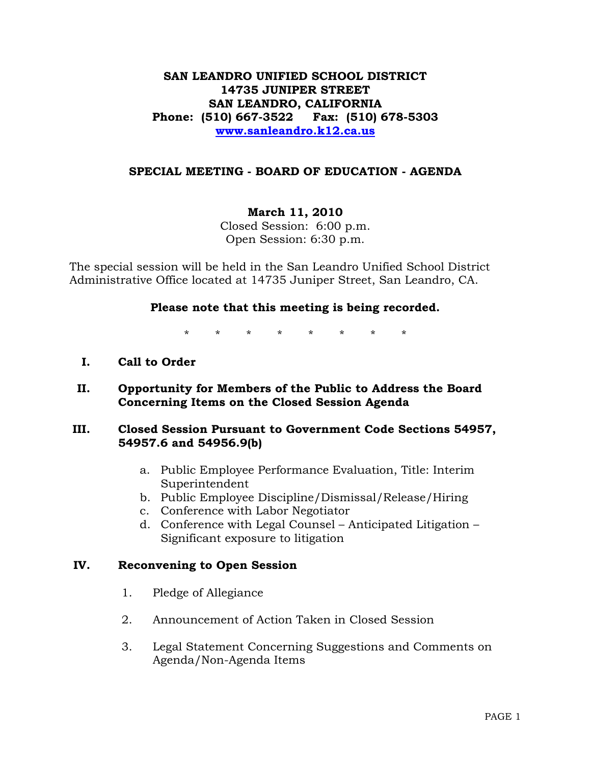## **SAN LEANDRO UNIFIED SCHOOL DISTRICT 14735 JUNIPER STREET SAN LEANDRO, CALIFORNIA Phone: (510) 667-3522 Fax: (510) 678-5303 [www.sanleandro.k12.ca.us](http://www.sanleandro.k12.ca.us/)**

## **SPECIAL MEETING - BOARD OF EDUCATION - AGENDA**

## **March 11, 2010**

Closed Session: 6:00 p.m. Open Session: 6:30 p.m.

The special session will be held in the San Leandro Unified School District Administrative Office located at 14735 Juniper Street, San Leandro, CA.

### **Please note that this meeting is being recorded.**

\* \* \* \* \* \* \* \*

- **I. Call to Order**
- **II. Opportunity for Members of the Public to Address the Board Concerning Items on the Closed Session Agenda**

### **III. Closed Session Pursuant to Government Code Sections 54957, 54957.6 and 54956.9(b)**

- a. Public Employee Performance Evaluation, Title: Interim Superintendent
- b. Public Employee Discipline/Dismissal/Release/Hiring
- c. Conference with Labor Negotiator
- d. Conference with Legal Counsel Anticipated Litigation Significant exposure to litigation

### **IV. Reconvening to Open Session**

- 1. Pledge of Allegiance
- 2. Announcement of Action Taken in Closed Session
- 3. Legal Statement Concerning Suggestions and Comments on Agenda/Non-Agenda Items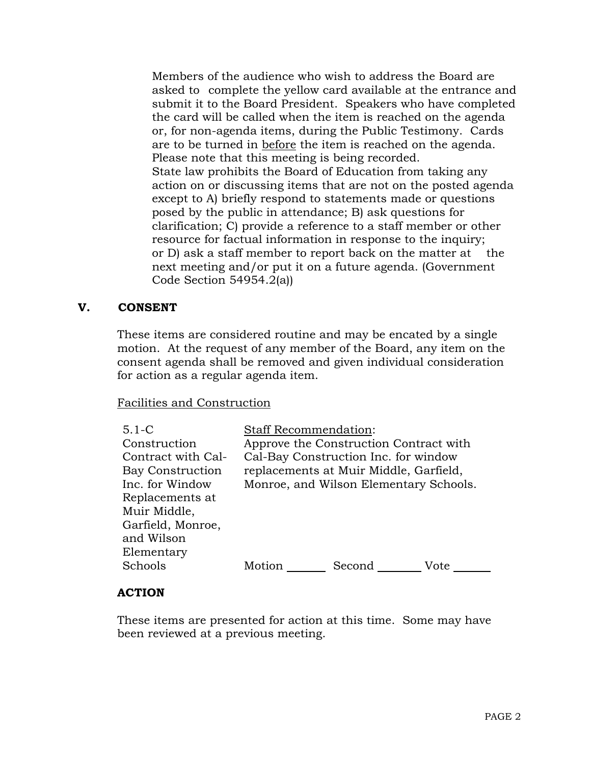Members of the audience who wish to address the Board are asked to complete the yellow card available at the entrance and submit it to the Board President. Speakers who have completed the card will be called when the item is reached on the agenda or, for non-agenda items, during the Public Testimony. Cards are to be turned in before the item is reached on the agenda. Please note that this meeting is being recorded. State law prohibits the Board of Education from taking any action on or discussing items that are not on the posted agenda except to A) briefly respond to statements made or questions posed by the public in attendance; B) ask questions for clarification; C) provide a reference to a staff member or other resource for factual information in response to the inquiry; or D) ask a staff member to report back on the matter at the next meeting and/or put it on a future agenda. (Government Code Section 54954.2(a))

## **V. CONSENT**

 These items are considered routine and may be encated by a single motion. At the request of any member of the Board, any item on the consent agenda shall be removed and given individual consideration for action as a regular agenda item.

### Facilities and Construction

| $5.1 - C$<br>Construction<br>Contract with Cal- | <b>Staff Recommendation:</b> | Approve the Construction Contract with<br>Cal-Bay Construction Inc. for window   |      |
|-------------------------------------------------|------------------------------|----------------------------------------------------------------------------------|------|
| <b>Bay Construction</b><br>Inc. for Window      |                              | replacements at Muir Middle, Garfield,<br>Monroe, and Wilson Elementary Schools. |      |
| Replacements at<br>Muir Middle,                 |                              |                                                                                  |      |
| Garfield, Monroe,<br>and Wilson<br>Elementary   |                              |                                                                                  |      |
| Schools                                         | Motion                       | Second                                                                           | Vote |

### **ACTION**

These items are presented for action at this time. Some may have been reviewed at a previous meeting.